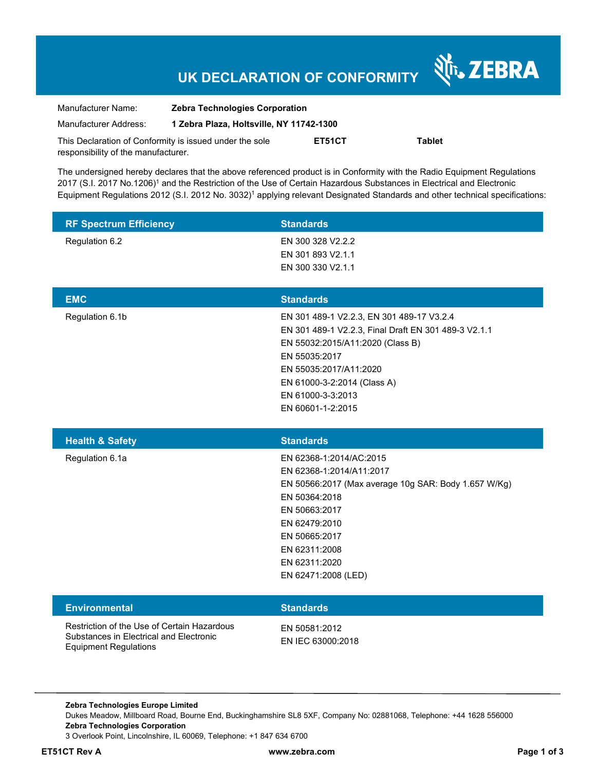# **UK DECLARATION OF CONFORMITY**

Nr. ZEBRA

| Manufacturer Name:                                      | <b>Zebra Technologies Corporation</b>    |        |               |
|---------------------------------------------------------|------------------------------------------|--------|---------------|
| Manufacturer Address:                                   | 1 Zebra Plaza, Holtsville, NY 11742-1300 |        |               |
| This Declaration of Conformity is issued under the sole |                                          | ET51CT | <b>Tablet</b> |
| responsibility of the manufacturer.                     |                                          |        |               |

The undersigned hereby declares that the above referenced product is in Conformity with the Radio Equipment Regulations 2017 (S.I. 2017 No.1206)<sup>1</sup> and the Restriction of the Use of Certain Hazardous Substances in Electrical and Electronic Equipment Regulations 2012 (S.I. 2012 No. 3032)<sup>1</sup> applying relevant Designated Standards and other technical specifications:

| <b>RF Spectrum Efficiency</b>                                                                                          | <b>Standards</b>                                                                                                                                                                                                                                          |
|------------------------------------------------------------------------------------------------------------------------|-----------------------------------------------------------------------------------------------------------------------------------------------------------------------------------------------------------------------------------------------------------|
| Regulation 6.2                                                                                                         | EN 300 328 V2.2.2<br>EN 301 893 V2.1.1<br>EN 300 330 V2.1.1                                                                                                                                                                                               |
| <b>EMC</b>                                                                                                             | <b>Standards</b>                                                                                                                                                                                                                                          |
| Regulation 6.1b                                                                                                        | EN 301 489-1 V2.2.3, EN 301 489-17 V3.2.4<br>EN 301 489-1 V2.2.3, Final Draft EN 301 489-3 V2.1.1<br>EN 55032:2015/A11:2020 (Class B)<br>EN 55035:2017<br>EN 55035:2017/A11:2020<br>EN 61000-3-2:2014 (Class A)<br>EN 61000-3-3:2013<br>EN 60601-1-2:2015 |
| <b>Health &amp; Safety</b>                                                                                             | <b>Standards</b>                                                                                                                                                                                                                                          |
| Regulation 6.1a                                                                                                        | EN 62368-1:2014/AC:2015<br>EN 62368-1:2014/A11:2017<br>EN 50566:2017 (Max average 10g SAR: Body 1.657 W/Kg)<br>EN 50364:2018<br>EN 50663:2017<br>EN 62479:2010<br>EN 50665:2017<br>EN 62311:2008<br>EN 62311:2020<br>EN 62471:2008 (LED)                  |
| <b>Environmental</b>                                                                                                   | <b>Standards</b>                                                                                                                                                                                                                                          |
| Restriction of the Use of Certain Hazardous<br>Substances in Electrical and Electronic<br><b>Equipment Regulations</b> | EN 50581:2012<br>EN IEC 63000:2018                                                                                                                                                                                                                        |

**Zebra Technologies Europe Limited**  Dukes Meadow, Millboard Road, Bourne End, Buckinghamshire SL8 5XF, Company No: 02881068, Telephone: +44 1628 556000 **Zebra Technologies Corporation**  3 Overlook Point, Lincolnshire, IL 60069, Telephone: +1 847 634 6700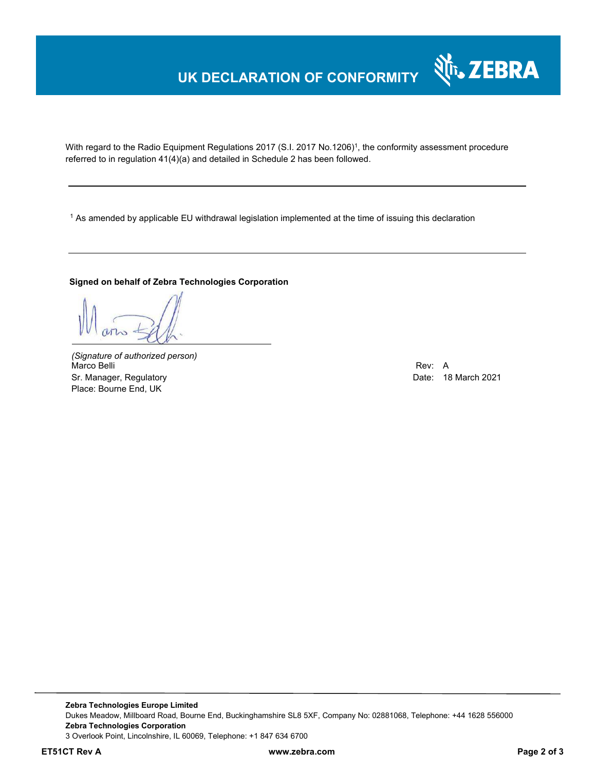## **UK DECLARATION OF CONFORMITY**

With regard to the Radio Equipment Regulations 2017 (S.I. 2017 No.1206)<sup>1</sup>, the conformity assessment procedure referred to in regulation 41(4)(a) and detailed in Schedule 2 has been followed.

 $^{\rm 1}$  As amended by applicable EU withdrawal legislation implemented at the time of issuing this declaration

#### **Signed on behalf of Zebra Technologies Corporation**

*(Signature of authorized person)* Marco Belli Rev: A Alexander Communication of the Communication of the Communication of the Communication of the Communication of the Communication of the Communication of the Communication of the Communication of the Comm Sr. Manager, Regulatory **Date: 18 March 2021** Control and Date: 18 March 2021 Place: Bourne End, UK

Nr. ZEBRA